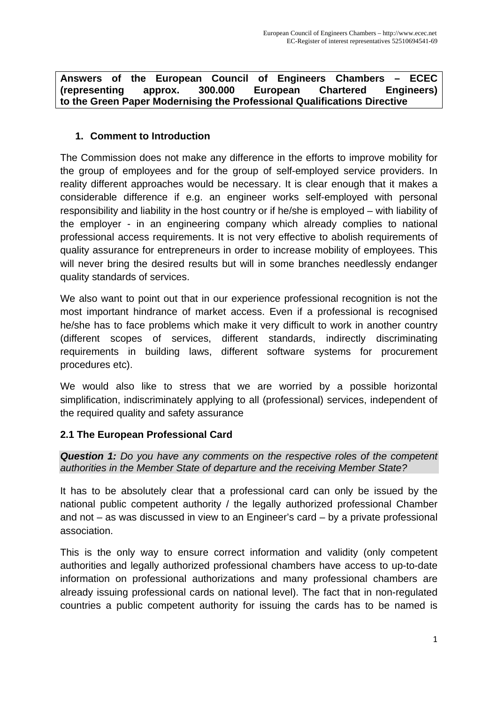#### **Answers of the European Council of Engineers Chambers – ECEC (representing approx. 300.000 European Chartered Engineers) to the Green Paper Modernising the Professional Qualifications Directive**

# **1. Comment to Introduction**

The Commission does not make any difference in the efforts to improve mobility for the group of employees and for the group of self-employed service providers. In reality different approaches would be necessary. It is clear enough that it makes a considerable difference if e.g. an engineer works self-employed with personal responsibility and liability in the host country or if he/she is employed – with liability of the employer - in an engineering company which already complies to national professional access requirements. It is not very effective to abolish requirements of quality assurance for entrepreneurs in order to increase mobility of employees. This will never bring the desired results but will in some branches needlessly endanger quality standards of services.

We also want to point out that in our experience professional recognition is not the most important hindrance of market access. Even if a professional is recognised he/she has to face problems which make it very difficult to work in another country (different scopes of services, different standards, indirectly discriminating requirements in building laws, different software systems for procurement procedures etc).

We would also like to stress that we are worried by a possible horizontal simplification, indiscriminately applying to all (professional) services, independent of the required quality and safety assurance

# **2.1 The European Professional Card**

*Question 1: Do you have any comments on the respective roles of the competent authorities in the Member State of departure and the receiving Member State?* 

It has to be absolutely clear that a professional card can only be issued by the national public competent authority / the legally authorized professional Chamber and not – as was discussed in view to an Engineer's card – by a private professional association.

This is the only way to ensure correct information and validity (only competent authorities and legally authorized professional chambers have access to up-to-date information on professional authorizations and many professional chambers are already issuing professional cards on national level). The fact that in non-regulated countries a public competent authority for issuing the cards has to be named is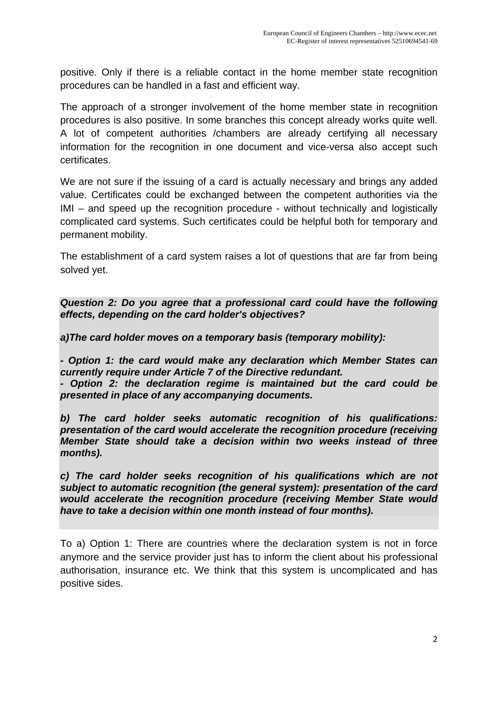positive. Only if there is a reliable contact in the home member state recognition procedures can be handled in a fast and efficient way.

The approach of a stronger involvement of the home member state in recognition procedures is also positive. In some branches this concept already works quite well. A lot of competent authorities /chambers are already certifying all necessary information for the recognition in one document and vice-versa also accept such certificates.

We are not sure if the issuing of a card is actually necessary and brings any added value. Certificates could be exchanged between the competent authorities via the IMI – and speed up the recognition procedure - without technically and logistically complicated card systems. Such certificates could be helpful both for temporary and permanent mobility.

The establishment of a card system raises a lot of questions that are far from being solved yet.

*Question 2: Do you agree that a professional card could have the following effects, depending on the card holder's objectives?* 

*a)The card holder moves on a temporary basis (temporary mobility):* 

*- Option 1: the card would make any declaration which Member States can currently require under Article 7 of the Directive redundant. - Option 2: the declaration regime is maintained but the card could be* 

*presented in place of any accompanying documents.* 

*b) The card holder seeks automatic recognition of his qualifications: presentation of the card would accelerate the recognition procedure (receiving Member State should take a decision within two weeks instead of three months).* 

*c) The card holder seeks recognition of his qualifications which are not subject to automatic recognition (the general system): presentation of the card would accelerate the recognition procedure (receiving Member State would have to take a decision within one month instead of four months).* 

To a) Option 1: There are countries where the declaration system is not in force anymore and the service provider just has to inform the client about his professional authorisation, insurance etc. We think that this system is uncomplicated and has positive sides.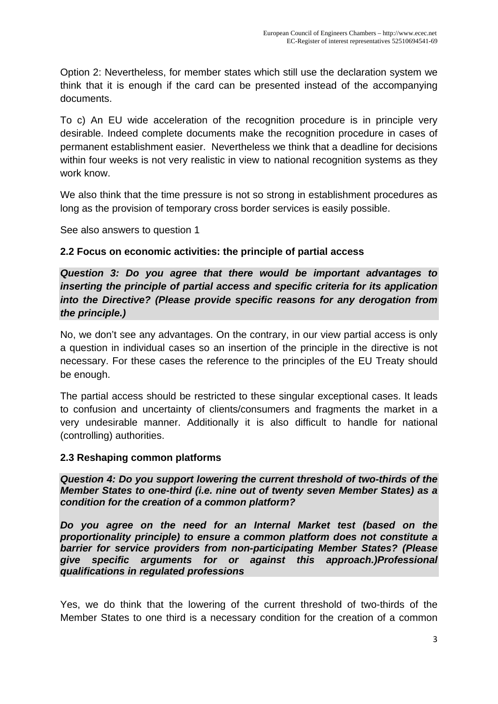Option 2: Nevertheless, for member states which still use the declaration system we think that it is enough if the card can be presented instead of the accompanying documents.

To c) An EU wide acceleration of the recognition procedure is in principle very desirable. Indeed complete documents make the recognition procedure in cases of permanent establishment easier. Nevertheless we think that a deadline for decisions within four weeks is not very realistic in view to national recognition systems as they work know.

We also think that the time pressure is not so strong in establishment procedures as long as the provision of temporary cross border services is easily possible.

See also answers to question 1

#### **2.2 Focus on economic activities: the principle of partial access**

*Question 3: Do you agree that there would be important advantages to inserting the principle of partial access and specific criteria for its application into the Directive? (Please provide specific reasons for any derogation from the principle.)* 

No, we don't see any advantages. On the contrary, in our view partial access is only a question in individual cases so an insertion of the principle in the directive is not necessary. For these cases the reference to the principles of the EU Treaty should be enough.

The partial access should be restricted to these singular exceptional cases. It leads to confusion and uncertainty of clients/consumers and fragments the market in a very undesirable manner. Additionally it is also difficult to handle for national (controlling) authorities.

#### **2.3 Reshaping common platforms**

*Question 4: Do you support lowering the current threshold of two-thirds of the Member States to one-third (i.e. nine out of twenty seven Member States) as a condition for the creation of a common platform?* 

*Do you agree on the need for an Internal Market test (based on the proportionality principle) to ensure a common platform does not constitute a barrier for service providers from non-participating Member States? (Please give specific arguments for or against this approach.)Professional qualifications in regulated professions* 

Yes, we do think that the lowering of the current threshold of two-thirds of the Member States to one third is a necessary condition for the creation of a common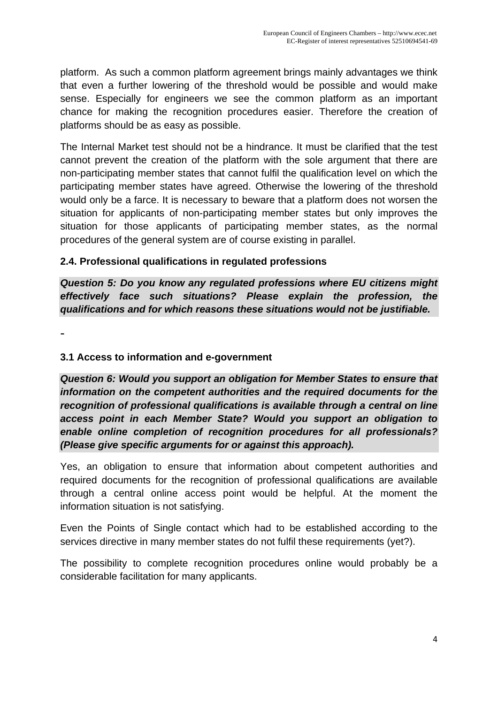platform. As such a common platform agreement brings mainly advantages we think that even a further lowering of the threshold would be possible and would make sense. Especially for engineers we see the common platform as an important chance for making the recognition procedures easier. Therefore the creation of platforms should be as easy as possible.

The Internal Market test should not be a hindrance. It must be clarified that the test cannot prevent the creation of the platform with the sole argument that there are non-participating member states that cannot fulfil the qualification level on which the participating member states have agreed. Otherwise the lowering of the threshold would only be a farce. It is necessary to beware that a platform does not worsen the situation for applicants of non-participating member states but only improves the situation for those applicants of participating member states, as the normal procedures of the general system are of course existing in parallel.

#### **2.4. Professional qualifications in regulated professions**

*Question 5: Do you know any regulated professions where EU citizens might effectively face such situations? Please explain the profession, the qualifications and for which reasons these situations would not be justifiable.* 

-

### **3.1 Access to information and e-government**

*Question 6: Would you support an obligation for Member States to ensure that information on the competent authorities and the required documents for the recognition of professional qualifications is available through a central on line access point in each Member State? Would you support an obligation to enable online completion of recognition procedures for all professionals? (Please give specific arguments for or against this approach).* 

Yes, an obligation to ensure that information about competent authorities and required documents for the recognition of professional qualifications are available through a central online access point would be helpful. At the moment the information situation is not satisfying.

Even the Points of Single contact which had to be established according to the services directive in many member states do not fulfil these requirements (yet?).

The possibility to complete recognition procedures online would probably be a considerable facilitation for many applicants.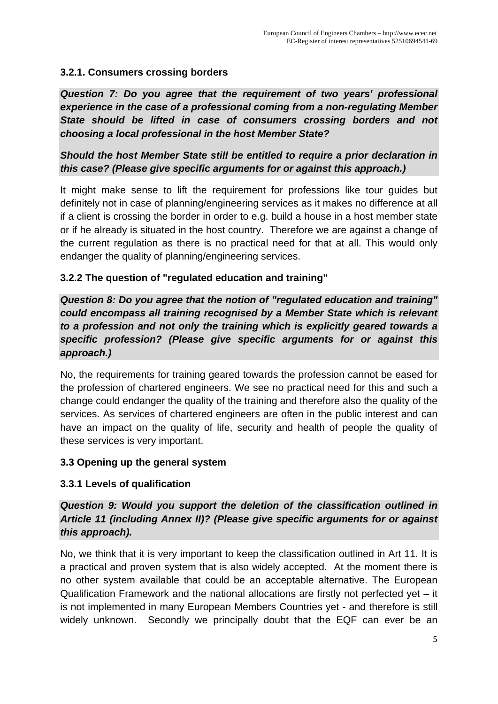# **3.2.1. Consumers crossing borders**

*Question 7: Do you agree that the requirement of two years' professional experience in the case of a professional coming from a non-regulating Member State should be lifted in case of consumers crossing borders and not choosing a local professional in the host Member State?* 

# *Should the host Member State still be entitled to require a prior declaration in this case? (Please give specific arguments for or against this approach.)*

It might make sense to lift the requirement for professions like tour guides but definitely not in case of planning/engineering services as it makes no difference at all if a client is crossing the border in order to e.g. build a house in a host member state or if he already is situated in the host country. Therefore we are against a change of the current regulation as there is no practical need for that at all. This would only endanger the quality of planning/engineering services.

# **3.2.2 The question of "regulated education and training"**

*Question 8: Do you agree that the notion of "regulated education and training" could encompass all training recognised by a Member State which is relevant to a profession and not only the training which is explicitly geared towards a specific profession? (Please give specific arguments for or against this approach.)* 

No, the requirements for training geared towards the profession cannot be eased for the profession of chartered engineers. We see no practical need for this and such a change could endanger the quality of the training and therefore also the quality of the services. As services of chartered engineers are often in the public interest and can have an impact on the quality of life, security and health of people the quality of these services is very important.

# **3.3 Opening up the general system**

# **3.3.1 Levels of qualification**

# *Question 9: Would you support the deletion of the classification outlined in Article 11 (including Annex II)? (Please give specific arguments for or against this approach).*

No, we think that it is very important to keep the classification outlined in Art 11. It is a practical and proven system that is also widely accepted. At the moment there is no other system available that could be an acceptable alternative. The European Qualification Framework and the national allocations are firstly not perfected yet – it is not implemented in many European Members Countries yet - and therefore is still widely unknown. Secondly we principally doubt that the EQF can ever be an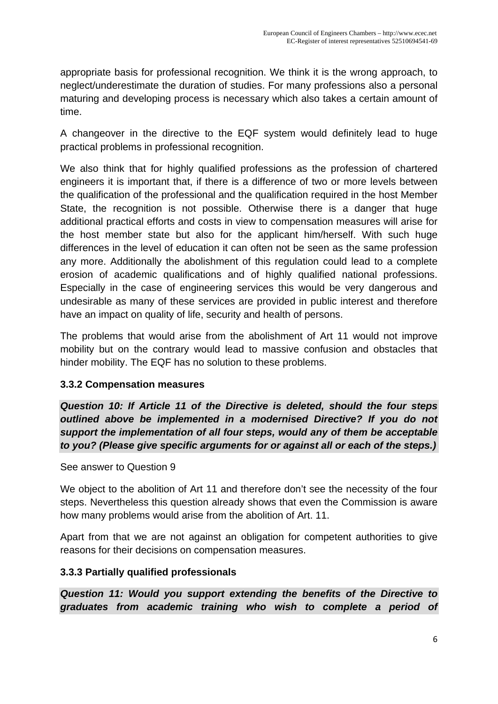appropriate basis for professional recognition. We think it is the wrong approach, to neglect/underestimate the duration of studies. For many professions also a personal maturing and developing process is necessary which also takes a certain amount of time.

A changeover in the directive to the EQF system would definitely lead to huge practical problems in professional recognition.

We also think that for highly qualified professions as the profession of chartered engineers it is important that, if there is a difference of two or more levels between the qualification of the professional and the qualification required in the host Member State, the recognition is not possible. Otherwise there is a danger that huge additional practical efforts and costs in view to compensation measures will arise for the host member state but also for the applicant him/herself. With such huge differences in the level of education it can often not be seen as the same profession any more. Additionally the abolishment of this regulation could lead to a complete erosion of academic qualifications and of highly qualified national professions. Especially in the case of engineering services this would be very dangerous and undesirable as many of these services are provided in public interest and therefore have an impact on quality of life, security and health of persons.

The problems that would arise from the abolishment of Art 11 would not improve mobility but on the contrary would lead to massive confusion and obstacles that hinder mobility. The EQF has no solution to these problems.

# **3.3.2 Compensation measures**

*Question 10: If Article 11 of the Directive is deleted, should the four steps outlined above be implemented in a modernised Directive? If you do not support the implementation of all four steps, would any of them be acceptable to you? (Please give specific arguments for or against all or each of the steps.)* 

See answer to Question 9

We object to the abolition of Art 11 and therefore don't see the necessity of the four steps. Nevertheless this question already shows that even the Commission is aware how many problems would arise from the abolition of Art. 11.

Apart from that we are not against an obligation for competent authorities to give reasons for their decisions on compensation measures.

# **3.3.3 Partially qualified professionals**

*Question 11: Would you support extending the benefits of the Directive to graduates from academic training who wish to complete a period of*